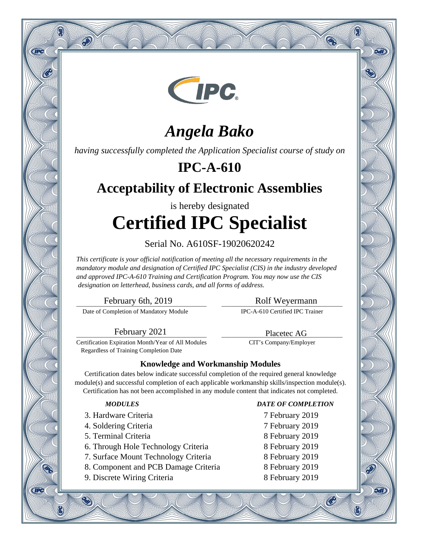

# *Angela Bako*

*having successfully completed the Application Specialist course of study on*

## **IPC-A-610**

## **Acceptability of Electronic Assemblies**

# is hereby designated **Certified IPC Specialist**

### Serial No. A610SF-19020620242

*This certificate is your official notification of meeting all the necessary requirements in the mandatory module and designation of Certified IPC Specialist (CIS) in the industry developed and approved IPC-A-610 Training and Certification Program. You may now use the CIS designation on letterhead, business cards, and all forms of address.*

\_\_\_\_\_\_\_\_\_\_\_\_\_\_\_\_\_\_\_\_\_\_\_\_\_\_\_\_\_\_\_\_\_\_\_\_\_\_\_\_\_\_ February 6th, 2019

Q

**CIPC** 

**CIPC** 

 $\hat{\infty}$ 

Date of Completion of Mandatory Module

### \_\_\_\_\_\_\_\_\_\_\_\_\_\_\_\_\_\_\_\_\_\_\_\_\_\_\_\_\_\_\_\_\_\_\_\_\_\_\_ Rolf Weyermann

Q

oan

9वारे

®

IPC-A-610 Certified IPC Trainer

\_\_\_\_\_\_\_\_\_\_\_\_\_\_\_\_\_\_\_\_\_\_\_\_\_\_\_\_\_\_\_\_\_\_\_\_\_\_\_ Placetec AG CIT's Company/Employer

\_\_\_\_\_\_\_\_\_\_\_\_\_\_\_\_\_\_\_\_\_\_\_\_\_\_\_\_\_\_\_\_\_\_\_\_\_\_\_\_\_\_ February 2021

Certification Expiration Month/Year of All Modules Regardless of Training Completion Date

### **Knowledge and Workmanship Modules**

Certification dates below indicate successful completion of the required general knowledge module(s) and successful completion of each applicable workmanship skills/inspection module(s). Certification has not been accomplished in any module content that indicates not completed.

- 3. Hardware Criteria 7 February 2019
- 4. Soldering Criteria 7 February 2019
- 5. Terminal Criteria 8 February 2019
- 6. Through Hole Technology Criteria 8 February 2019
- 7. Surface Mount Technology Criteria 8 February 2019
- 8. Component and PCB Damage Criteria 8 February 2019
- 9. Discrete Wiring Criteria 8 February 2019

### *MODULES DATE OF COMPLETION*

- 
- 
- 
- 
- 
- 
- 

 $\mathcal{C}$